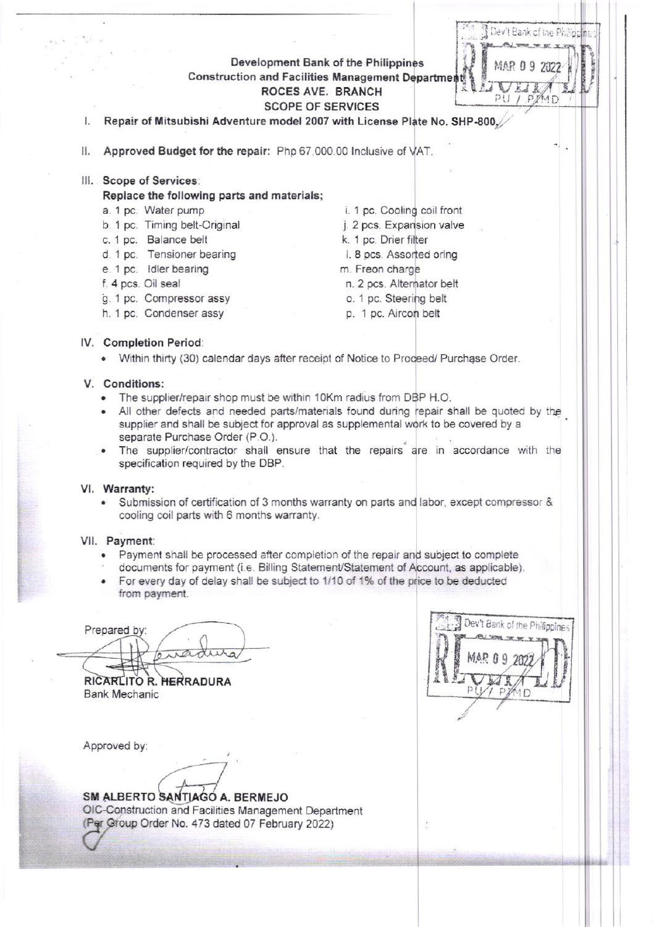Development Bank of the Philippines Construction and Facilities Management Departmen ROCES AVE. BRANCH **SCOPE OF SERVICES** 

Repair of Mitsubishi Adventure model 2007 with License Plate No. SHP-800. I.

II. Approved Budget for the repair: Php 67,000.00 Inclusive of VAT.

III. Scope of Services:

Replace the following parts and materials;

- a. 1 pc. Water pump
- b. 1 pc. Timing belt-Original
- c. 1 pc. Balance belt
- d. 1 pc. Tensioner bearing
- e. 1 pc. Idler bearing
- f. 4 pcs. Oil seal
- g. 1 pc. Compressor assy
- h. 1 pc. Condenser assy
- i. 1 pc. Cooling coil front j. 2 pcs. Expansion valve k. 1 pc. Drier filter I. 8 pcs. Assorted oring m. Freon charge n. 2 pcs. Alternator belt o. 1 pc. Steering belt
	- p. 1 pc. Aircon belt

## IV. Completion Period:

. Within thirty (30) calendar days after receipt of Notice to Proceed/ Purchase Order.

## V. Conditions:

- The supplier/repair shop must be within 10Km radius from DBP H.O.
- . All other defects and needed parts/materials found during repair shall be quoted by the supplier and shall be subject for approval as supplemental work to be covered by a separate Purchase Order (P.O.).
- The supplier/contractor shall ensure that the repairs are in accordance with the specification required by the DBP.

## VI. Warranty:

Submission of certification of 3 months warranty on parts and labor, except compressor & cooling coil parts with 6 months warranty.

#### VII. Payment:

- Payment shall be processed after completion of the repair and subject to complete  $\bullet$
- documents for payment (i.e. Billing Statement/Statement of Account, as applicable).
- For every day of delay shall be subject to 1/10 of 1% of the price to be deducted from payment.

Prepared by: wading

RICARLITO R. HERRADURA **Bank Mechanic** 

Approved by:

SM ALBERTO SANTIAGO A. BERMEJO OIC-Construction and Facilities Management Department (Per Group Order No. 473 dated 07 February 2022)



Dev't Bank of the Phil